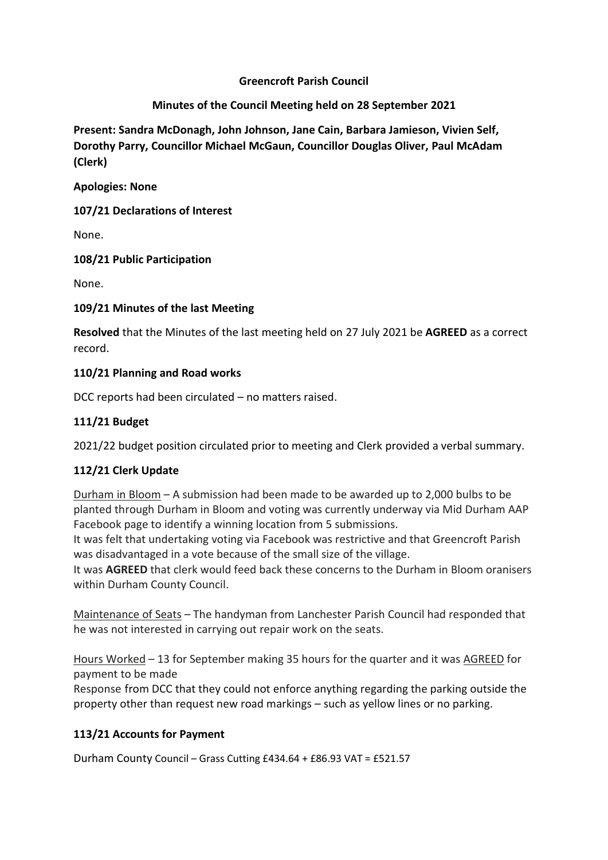#### **Greencroft Parish Council**

#### **Minutes of the Council Meeting held on 28 September 2021**

**Present: Sandra McDonagh, John Johnson, Jane Cain, Barbara Jamieson, Vivien Self, Dorothy Parry, Councillor Michael McGaun, Councillor Douglas Oliver, Paul McAdam (Clerk)**

**Apologies: None** 

**107/21 Declarations of Interest**

None.

**108/21 Public Participation**

None.

#### **109/21 Minutes of the last Meeting**

**Resolved** that the Minutes of the last meeting held on 27 July 2021 be **AGREED** as a correct record.

#### **110/21 Planning and Road works**

DCC reports had been circulated – no matters raised.

# **111/21 Budget**

2021/22 budget position circulated prior to meeting and Clerk provided a verbal summary.

# **112/21 Clerk Update**

Durham in Bloom – A submission had been made to be awarded up to 2,000 bulbs to be planted through Durham in Bloom and voting was currently underway via Mid Durham AAP Facebook page to identify a winning location from 5 submissions.

It was felt that undertaking voting via Facebook was restrictive and that Greencroft Parish was disadvantaged in a vote because of the small size of the village.

It was **AGREED** that clerk would feed back these concerns to the Durham in Bloom oranisers within Durham County Council.

Maintenance of Seats – The handyman from Lanchester Parish Council had responded that he was not interested in carrying out repair work on the seats.

Hours Worked – 13 for September making 35 hours for the quarter and it was AGREED for payment to be made

Response from DCC that they could not enforce anything regarding the parking outside the property other than request new road markings – such as yellow lines or no parking.

# **113/21 Accounts for Payment**

Durham County Council – Grass Cutting £434.64 + £86.93 VAT = £521.57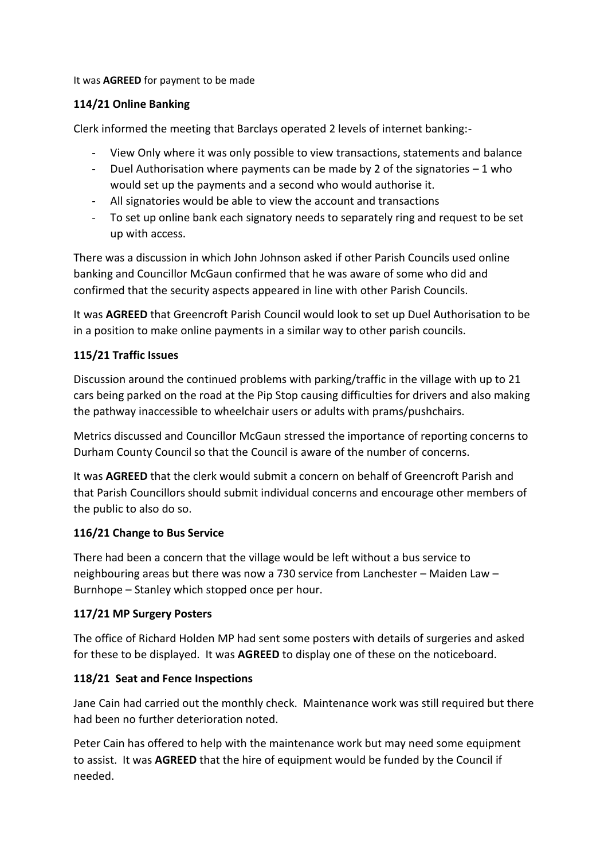#### It was **AGREED** for payment to be made

# **114/21 Online Banking**

Clerk informed the meeting that Barclays operated 2 levels of internet banking:-

- View Only where it was only possible to view transactions, statements and balance
- Duel Authorisation where payments can be made by 2 of the signatories  $-1$  who would set up the payments and a second who would authorise it.
- All signatories would be able to view the account and transactions
- To set up online bank each signatory needs to separately ring and request to be set up with access.

There was a discussion in which John Johnson asked if other Parish Councils used online banking and Councillor McGaun confirmed that he was aware of some who did and confirmed that the security aspects appeared in line with other Parish Councils.

It was **AGREED** that Greencroft Parish Council would look to set up Duel Authorisation to be in a position to make online payments in a similar way to other parish councils.

# **115/21 Traffic Issues**

Discussion around the continued problems with parking/traffic in the village with up to 21 cars being parked on the road at the Pip Stop causing difficulties for drivers and also making the pathway inaccessible to wheelchair users or adults with prams/pushchairs.

Metrics discussed and Councillor McGaun stressed the importance of reporting concerns to Durham County Council so that the Council is aware of the number of concerns.

It was **AGREED** that the clerk would submit a concern on behalf of Greencroft Parish and that Parish Councillors should submit individual concerns and encourage other members of the public to also do so.

# **116/21 Change to Bus Service**

There had been a concern that the village would be left without a bus service to neighbouring areas but there was now a 730 service from Lanchester – Maiden Law – Burnhope – Stanley which stopped once per hour.

# **117/21 MP Surgery Posters**

The office of Richard Holden MP had sent some posters with details of surgeries and asked for these to be displayed. It was **AGREED** to display one of these on the noticeboard.

# **118/21 Seat and Fence Inspections**

Jane Cain had carried out the monthly check. Maintenance work was still required but there had been no further deterioration noted.

Peter Cain has offered to help with the maintenance work but may need some equipment to assist. It was **AGREED** that the hire of equipment would be funded by the Council if needed.